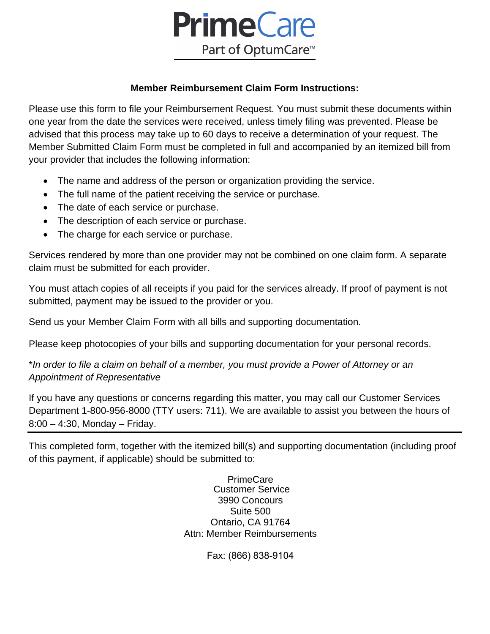

### **Member Reimbursement Claim Form Instructions:**

Please use this form to file your Reimbursement Request. You must submit these documents within one year from the date the services were received, unless timely filing was prevented. Please be advised that this process may take up to 60 days to receive a determination of your request. The Member Submitted Claim Form must be completed in full and accompanied by an itemized bill from your provider that includes the following information:

- The name and address of the person or organization providing the service.
- The full name of the patient receiving the service or purchase.
- The date of each service or purchase.
- The description of each service or purchase.
- The charge for each service or purchase.

Services rendered by more than one provider may not be combined on one claim form. A separate claim must be submitted for each provider.

You must attach copies of all receipts if you paid for the services already. If proof of payment is not submitted, payment may be issued to the provider or you.

Send us your Member Claim Form with all bills and supporting documentation.

Please keep photocopies of your bills and supporting documentation for your personal records.

\**In order to file a claim on behalf of a member, you must provide a Power of Attorney or an Appointment of Representative*

If you have any questions or concerns regarding this matter, you may call our Customer Services Department 1-800-956-8000 (TTY users: 711). We are available to assist you between the hours of 8:00 – 4:30, Monday – Friday.

This completed form, together with the itemized bill(s) and supporting documentation (including proof of this payment, if applicable) should be submitted to:

> **PrimeCare** Customer Service 3990 Concours Suite 500 Ontario, CA 91764 Attn: Member Reimbursements

> > Fax: (866) 838-9104